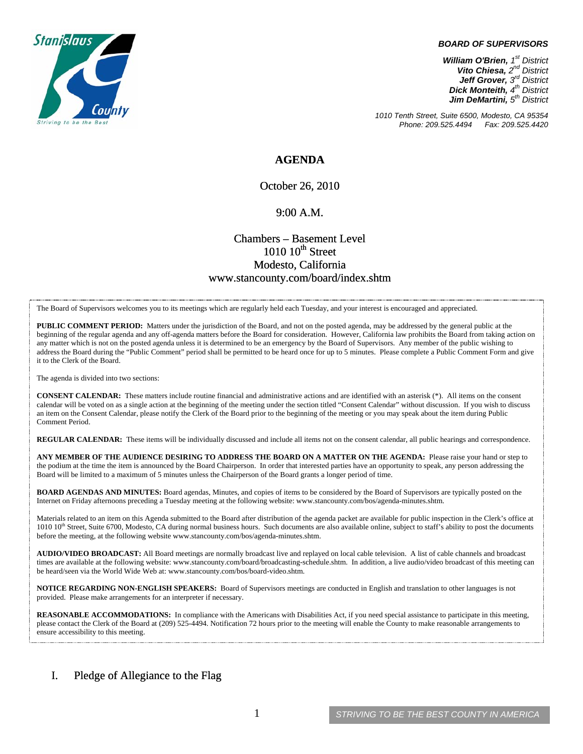

#### *BOARD OF SUPERVISORS*

*William O'Brien, 1st District Vito Chiesa, 2nd District Jeff Grover, 3rd District Dick Monteith, 4th District Jim DeMartini, 5th District*

*1010 Tenth Street, Suite 6500, Modesto, CA 95354 Phone: 209.525.4494* 

### **AGENDA**

October 26, 2010

#### 9:00 A.M.

## Chambers – Basement Level  $1010~10$ <sup>th</sup> Street Modesto, California www.stancounty.com/board/index.shtm

The Board of Supervisors welcomes you to its meetings which are regularly held each Tuesday, and your interest is encouraged and appreciated.

**PUBLIC COMMENT PERIOD:** Matters under the jurisdiction of the Board, and not on the posted agenda, may be addressed by the general public at the beginning of the regular agenda and any off-agenda matters before the Board for consideration. However, California law prohibits the Board from taking action on any matter which is not on the posted agenda unless it is determined to be an emergency by the Board of Supervisors. Any member of the public wishing to address the Board during the "Public Comment" period shall be permitted to be heard once for up to 5 minutes. Please complete a Public Comment Form and give it to the Clerk of the Board.

The agenda is divided into two sections:

**CONSENT CALENDAR:** These matters include routine financial and administrative actions and are identified with an asterisk (\*). All items on the consent calendar will be voted on as a single action at the beginning of the meeting under the section titled "Consent Calendar" without discussion. If you wish to discuss an item on the Consent Calendar, please notify the Clerk of the Board prior to the beginning of the meeting or you may speak about the item during Public Comment Period.

**REGULAR CALENDAR:** These items will be individually discussed and include all items not on the consent calendar, all public hearings and correspondence.

**ANY MEMBER OF THE AUDIENCE DESIRING TO ADDRESS THE BOARD ON A MATTER ON THE AGENDA:** Please raise your hand or step to the podium at the time the item is announced by the Board Chairperson. In order that interested parties have an opportunity to speak, any person addressing the Board will be limited to a maximum of 5 minutes unless the Chairperson of the Board grants a longer period of time.

**BOARD AGENDAS AND MINUTES:** Board agendas, Minutes, and copies of items to be considered by the Board of Supervisors are typically posted on the Internet on Friday afternoons preceding a Tuesday meeting at the following website: www.stancounty.com/bos/agenda-minutes.shtm.

Materials related to an item on this Agenda submitted to the Board after distribution of the agenda packet are available for public inspection in the Clerk's office at 1010 10<sup>th</sup> Street, Suite 6700, Modesto, CA during normal business hours. Such documents are also available online, subject to staff's ability to post the documents before the meeting, at the following website www.stancounty.com/bos/agenda-minutes.shtm.

**AUDIO/VIDEO BROADCAST:** All Board meetings are normally broadcast live and replayed on local cable television. A list of cable channels and broadcast times are available at the following website: www.stancounty.com/board/broadcasting-schedule.shtm. In addition, a live audio/video broadcast of this meeting can be heard/seen via the World Wide Web at: www.stancounty.com/bos/board-video.shtm.

**NOTICE REGARDING NON-ENGLISH SPEAKERS:** Board of Supervisors meetings are conducted in English and translation to other languages is not provided. Please make arrangements for an interpreter if necessary.

**REASONABLE ACCOMMODATIONS:** In compliance with the Americans with Disabilities Act, if you need special assistance to participate in this meeting, please contact the Clerk of the Board at (209) 525-4494. Notification 72 hours prior to the meeting will enable the County to make reasonable arrangements to ensure accessibility to this meeting.

### I. Pledge of Allegiance to the Flag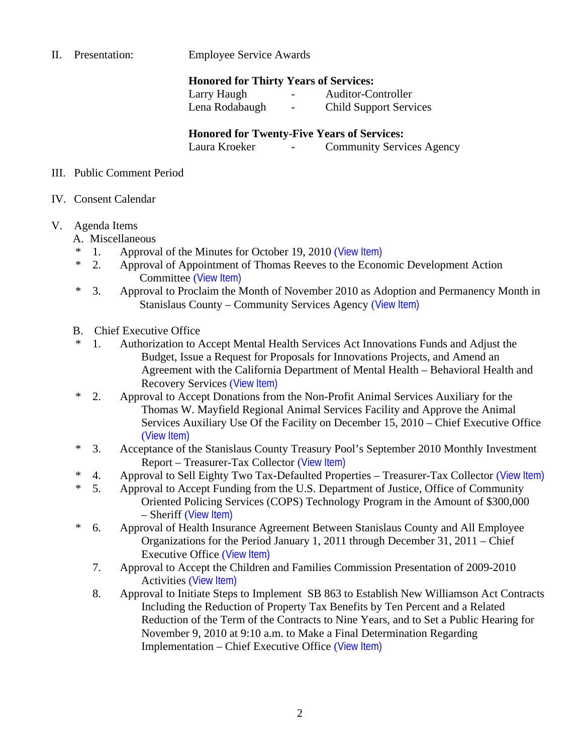II. Presentation: Employee Service Awards

## **Honored for Thirty Years of Services:**

 Larry Haugh - Auditor-Controller Lena Rodabaugh - Child Support Services

## **Honored for Twenty-Five Years of Services:**

Laura Kroeker - Community Services Agency

### III. Public Comment Period

IV. Consent Calendar

# V. Agenda Items

- A. Miscellaneous
- <sup>\*</sup> 1. Approval of the Minutes for October 19, 2010 ([View Item\)](http://www.stancounty.com/bos/minutes/2010/min10-19-10.pdf)<br>  $\frac{1}{2}$  Approval of Appointment of Thomas Reeves to the Econo
- 2. Approval of Appointment of Thomas Reeves to the Economic Development Action Committee ([View Item\)](http://www.stancounty.com/bos/agenda/2010/20101026/A02.pdf)
- \* 3. Approval to Proclaim the Month of November 2010 as Adoption and Permanency Month in Stanislaus County – Community Services Agency ([View Item\)](http://www.stancounty.com/bos/agenda/2010/20101026/A03.pdf)
- B. Chief Executive Office
- \* 1. Authorization to Accept Mental Health Services Act Innovations Funds and Adjust the Budget, Issue a Request for Proposals for Innovations Projects, and Amend an Agreement with the California Department of Mental Health – Behavioral Health and Recovery Services ([View Item\)](http://www.stancounty.com/bos/agenda/2010/20101026/B01.pdf)
- \* 2. Approval to Accept Donations from the Non-Profit Animal Services Auxiliary for the Thomas W. Mayfield Regional Animal Services Facility and Approve the Animal Services Auxiliary Use Of the Facility on December 15, 2010 – Chief Executive Office ([View Item\)](http://www.stancounty.com/bos/agenda/2010/20101026/B02.pdf)
- \* 3. Acceptance of the Stanislaus County Treasury Pool's September 2010 Monthly Investment Report – Treasurer-Tax Collector ([View Item\)](http://www.stancounty.com/bos/agenda/2010/20101026/B03.pdf)
- \* 4. Approval to Sell Eighty Two Tax-Defaulted Properties Treasurer-Tax Collector ([View Item\)](http://www.stancounty.com/bos/agenda/2010/20101026/B04.pdf)
- \* 5. Approval to Accept Funding from the U.S. Department of Justice, Office of Community Oriented Policing Services (COPS) Technology Program in the Amount of \$300,000 – Sheriff ([View Item\)](http://www.stancounty.com/bos/agenda/2010/20101026/B05.pdf)
- \* 6. Approval of Health Insurance Agreement Between Stanislaus County and All Employee Organizations for the Period January 1, 2011 through December 31, 2011 – Chief Executive Office ([View Item\)](http://www.stancounty.com/bos/agenda/2010/20101026/B06.pdf)
	- 7. Approval to Accept the Children and Families Commission Presentation of 2009-2010 Activities ([View Item\)](http://www.stancounty.com/bos/agenda/2010/20101026/B07.pdf)
	- 8. Approval to Initiate Steps to Implement SB 863 to Establish New Williamson Act Contracts Including the Reduction of Property Tax Benefits by Ten Percent and a Related Reduction of the Term of the Contracts to Nine Years, and to Set a Public Hearing for November 9, 2010 at 9:10 a.m. to Make a Final Determination Regarding Implementation – Chief Executive Office ([View Item\)](http://www.stancounty.com/bos/agenda/2010/20101026/B08.pdf)